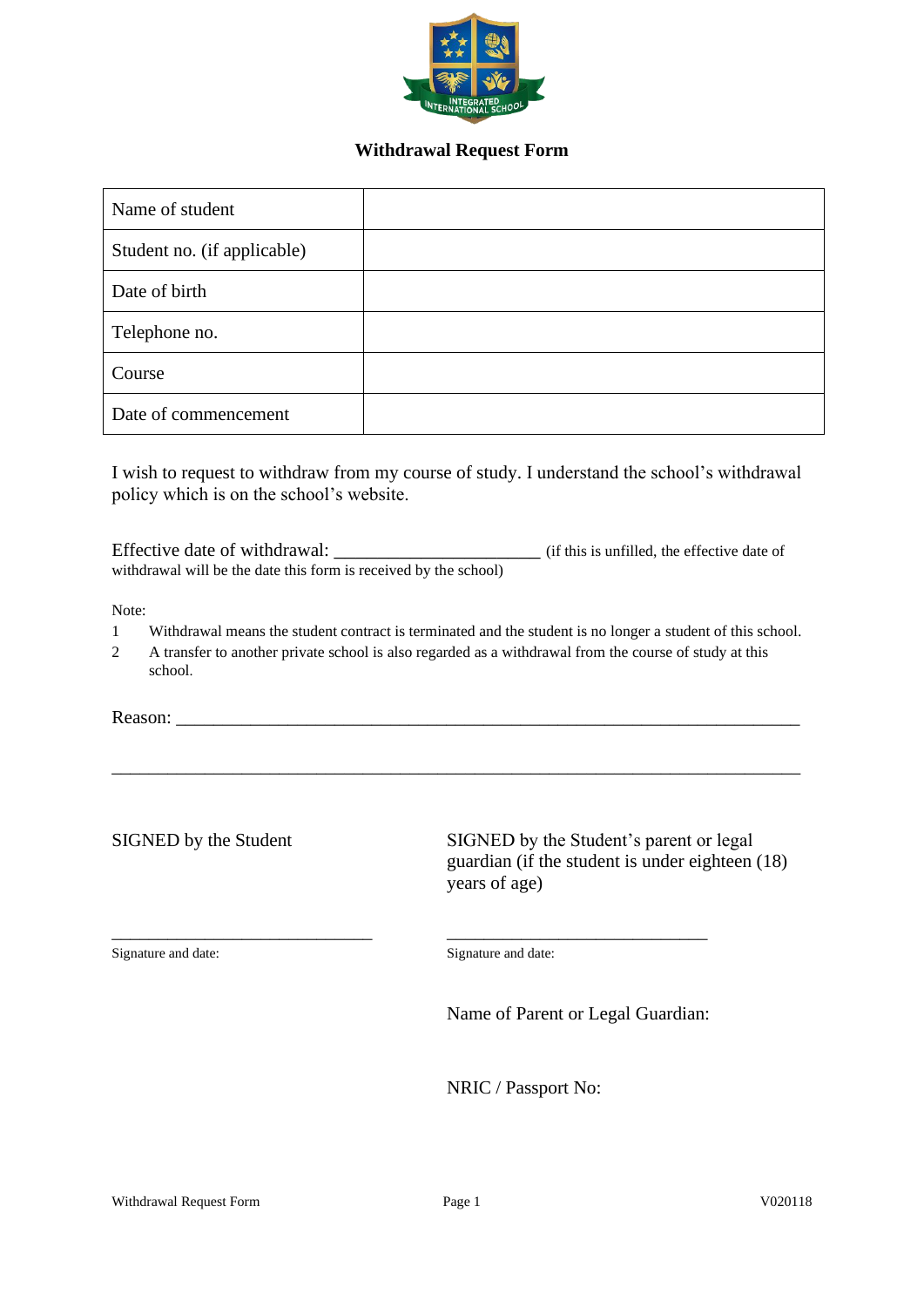

## **Withdrawal Request Form**

| Name of student             |  |
|-----------------------------|--|
| Student no. (if applicable) |  |
| Date of birth               |  |
| Telephone no.               |  |
| Course                      |  |
| Date of commencement        |  |

I wish to request to withdraw from my course of study. I understand the school's withdrawal policy which is on the school's website.

Effective date of withdrawal: \_\_\_\_\_\_\_\_\_\_\_\_\_\_\_\_\_\_\_\_\_\_\_\_\_\_\_\_ (if this is unfilled, the effective date of withdrawal will be the date this form is received by the school)

Note:

1 Withdrawal means the student contract is terminated and the student is no longer a student of this school.

\_\_\_\_\_\_\_\_\_\_\_\_\_\_\_\_\_\_\_\_\_\_\_\_\_\_\_\_\_\_\_\_\_\_\_\_\_\_\_\_\_\_\_\_\_\_\_\_\_\_\_\_\_\_\_\_\_\_\_\_\_\_\_\_\_\_\_\_\_\_\_\_\_\_

\_\_\_\_\_\_\_\_\_\_\_\_\_\_\_\_\_\_\_\_\_\_\_\_\_\_\_\_ \_\_\_\_\_\_\_\_\_\_\_\_\_\_\_\_\_\_\_\_\_\_\_\_\_\_\_\_

2 A transfer to another private school is also regarded as a withdrawal from the course of study at this school.

Reason:

SIGNED by the Student SIGNED by the Student's parent or legal

guardian (if the student is under eighteen (18) years of age)

Signature and date: Signature and date:

Name of Parent or Legal Guardian:

NRIC / Passport No: